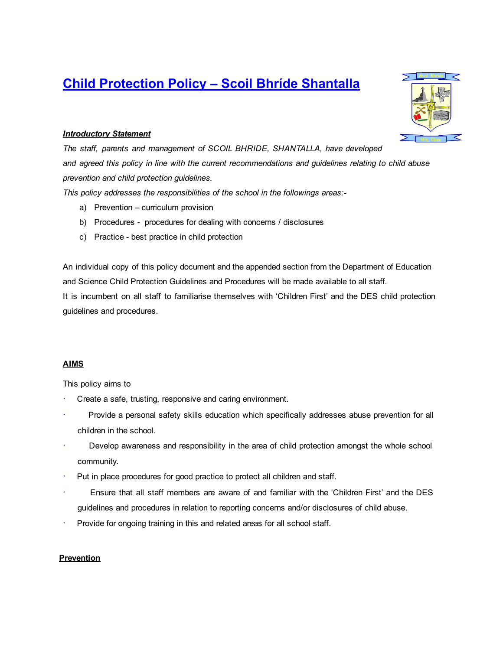# Child Protection Policy – Scoil Bhríde Shantalla



*The staff, parents and management of SCOIL BHRIDE, SHANTALLA, have developed and agreed this policy in line with the current recommendations and guidelines relating to child abuse prevention and child protection guidelines.*

*This policy addresses the responsibilities of the school in the followings areas:*

- a) Prevention curriculum provision
- b) Procedures procedures for dealing with concerns / disclosures
- c) Practice best practice in child protection

An individual copy of this policy document and the appended section from the Department of Education and Science Child Protection Guidelines and Procedures will be made available to all staff. It is incumbent on all staff to familiarise themselves with 'Children First' and the DES child protection guidelines and procedures.

#### AIMS

This policy aims to

- Create a safe, trusting, responsive and caring environment.
- Provide a personal safety skills education which specifically addresses abuse prevention for all children in the school.
- Develop awareness and responsibility in the area of child protection amongst the whole school community.
- Put in place procedures for good practice to protect all children and staff.
- · Ensure that all staff members are aware of and familiar with the 'Children First' and the DES guidelines and procedures in relation to reporting concerns and/or disclosures of child abuse.
- Provide for ongoing training in this and related areas for all school staff.

#### **Prevention**

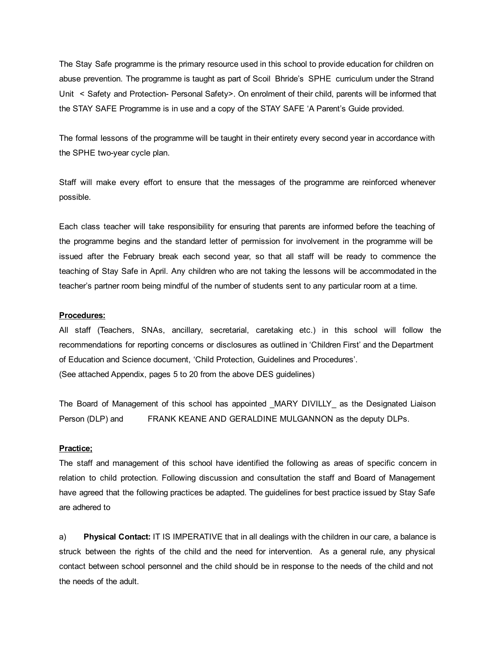The Stay Safe programme is the primary resource used in this school to provide education for children on abuse prevention. The programme is taught as part of Scoil Bhride's SPHE curriculum under the Strand Unit < Safety and Protection- Personal Safety>. On enrolment of their child, parents will be informed that the STAY SAFE Programme is in use and a copy of the STAY SAFE 'A Parent's Guide provided.

The formal lessons of the programme will be taught in their entirety every second year in accordance with the SPHE two-year cycle plan.

Staff will make every effort to ensure that the messages of the programme are reinforced whenever possible.

Each class teacher will take responsibility for ensuring that parents are informed before the teaching of the programme begins and the standard letter of permission for involvement in the programme will be issued after the February break each second year, so that all staff will be ready to commence the teaching of Stay Safe in April. Any children who are not taking the lessons will be accommodated in the teacher's partner room being mindful of the number of students sent to any particular room at a time.

#### Procedures:

All staff (Teachers, SNAs, ancillary, secretarial, caretaking etc.) in this school will follow the recommendations for reporting concerns or disclosures as outlined in 'Children First' and the Department of Education and Science document, 'Child Protection, Guidelines and Procedures'. (See attached Appendix, pages 5 to 20 from the above DES guidelines)

The Board of Management of this school has appointed \_MARY DIVILLY\_ as the Designated Liaison Person (DLP) and FRANK KEANE AND GERALDINE MULGANNON as the deputy DLPs.

#### Practice;

The staff and management of this school have identified the following as areas of specific concern in relation to child protection. Following discussion and consultation the staff and Board of Management have agreed that the following practices be adapted. The guidelines for best practice issued by Stay Safe are adhered to

a) Physical Contact: IT IS IMPERATIVE that in all dealings with the children in our care, a balance is struck between the rights of the child and the need for intervention. As a general rule, any physical contact between school personnel and the child should be in response to the needs of the child and not the needs of the adult.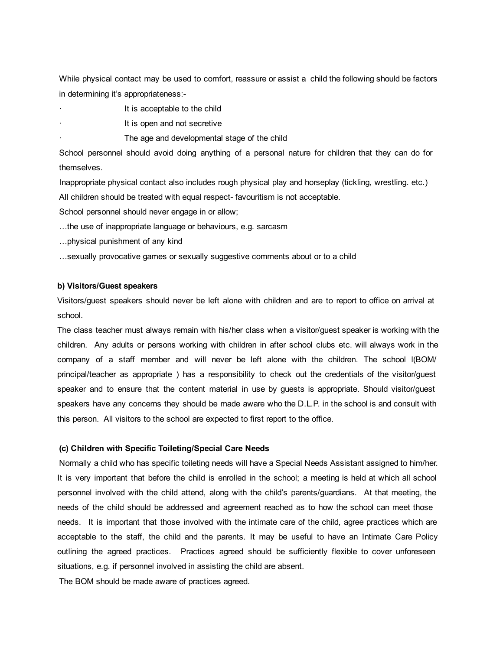While physical contact may be used to comfort, reassure or assist a child the following should be factors in determining it's appropriateness:

- It is acceptable to the child
- It is open and not secretive
	- The age and developmental stage of the child

School personnel should avoid doing anything of a personal nature for children that they can do for themselves.

Inappropriate physical contact also includes rough physical play and horseplay (tickling, wrestling. etc.) All children should be treated with equal respect favouritism is not acceptable.

School personnel should never engage in or allow;

- …the use of inappropriate language or behaviours, e.g. sarcasm
- …physical punishment of any kind
- …sexually provocative games or sexually suggestive comments about or to a child

#### b) Visitors/Guest speakers

Visitors/guest speakers should never be left alone with children and are to report to office on arrival at school.

The class teacher must always remain with his/her class when a visitor/guest speaker is working with the children. Any adults or persons working with children in after school clubs etc. will always work in the company of a staff member and will never be left alone with the children. The school l(BOM/ principal/teacher as appropriate ) has a responsibility to check out the credentials of the visitor/guest speaker and to ensure that the content material in use by guests is appropriate. Should visitor/guest speakers have any concerns they should be made aware who the D.L.P. in the school is and consult with this person. All visitors to the school are expected to first report to the office.

#### (c) Children with Specific Toileting/Special Care Needs

Normally a child who has specific toileting needs will have a Special Needs Assistant assigned to him/her. It is very important that before the child is enrolled in the school; a meeting is held at which all school personnel involved with the child attend, along with the child's parents/guardians. At that meeting, the needs of the child should be addressed and agreement reached as to how the school can meet those needs. It is important that those involved with the intimate care of the child, agree practices which are acceptable to the staff, the child and the parents. It may be useful to have an Intimate Care Policy outlining the agreed practices. Practices agreed should be sufficiently flexible to cover unforeseen situations, e.g. if personnel involved in assisting the child are absent.

The BOM should be made aware of practices agreed.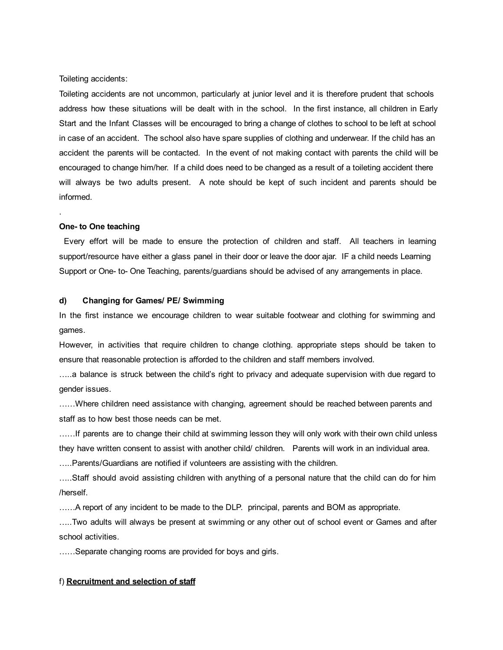Toileting accidents:

Toileting accidents are not uncommon, particularly at junior level and it is therefore prudent that schools address how these situations will be dealt with in the school. In the first instance, all children in Early Start and the Infant Classes will be encouraged to bring a change of clothes to school to be left at school in case of an accident. The school also have spare supplies of clothing and underwear. If the child has an accident the parents will be contacted. In the event of not making contact with parents the child will be encouraged to change him/her. If a child does need to be changed as a result of a toileting accident there will always be two adults present. A note should be kept of such incident and parents should be informed.

#### One- to One teaching

.

Every effort will be made to ensure the protection of children and staff. All teachers in learning support/resource have either a glass panel in their door or leave the door ajar. IF a child needs Learning Support or One to One Teaching, parents/guardians should be advised of any arrangements in place.

#### d) Changing for Games/ PE/ Swimming

In the first instance we encourage children to wear suitable footwear and clothing for swimming and games.

However, in activities that require children to change clothing. appropriate steps should be taken to ensure that reasonable protection is afforded to the children and staff members involved.

…..a balance is struck between the child's right to privacy and adequate supervision with due regard to gender issues.

……Where children need assistance with changing, agreement should be reached between parents and staff as to how best those needs can be met.

……If parents are to change their child at swimming lesson they will only work with their own child unless they have written consent to assist with another child/ children. Parents will work in an individual area.

…..Parents/Guardians are notified if volunteers are assisting with the children.

…..Staff should avoid assisting children with anything of a personal nature that the child can do for him /herself.

……A report of any incident to be made to the DLP. principal, parents and BOM as appropriate.

…..Two adults will always be present at swimming or any other out of school event or Games and after school activities.

……Separate changing rooms are provided for boys and girls.

#### f) Recruitment and selection of staff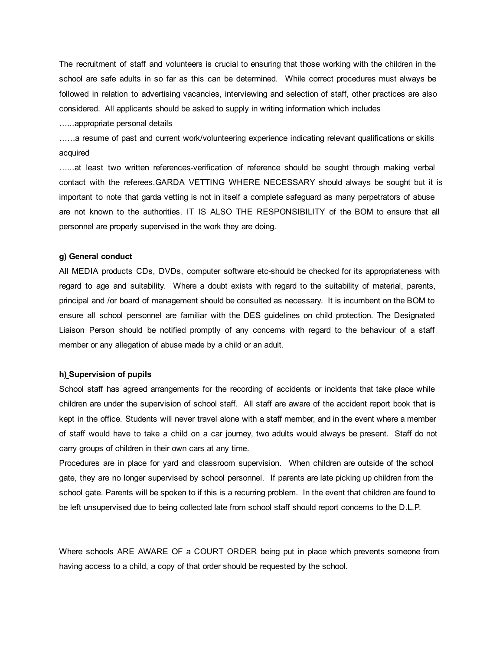The recruitment of staff and volunteers is crucial to ensuring that those working with the children in the school are safe adults in so far as this can be determined. While correct procedures must always be followed in relation to advertising vacancies, interviewing and selection of staff, other practices are also considered. All applicants should be asked to supply in writing information which includes

…...appropriate personal details

……a resume of past and current work/volunteering experience indicating relevant qualifications or skills acquired

......at least two written references-verification of reference should be sought through making verbal contact with the referees.GARDA VETTING WHERE NECESSARY should always be sought but it is important to note that garda vetting is not in itself a complete safeguard as many perpetrators of abuse are not known to the authorities. IT IS ALSO THE RESPONSIBILITY of the BOM to ensure that all personnel are properly supervised in the work they are doing.

#### g) General conduct

All MEDIA products CDs, DVDs, computer software etc-should be checked for its appropriateness with regard to age and suitability. Where a doubt exists with regard to the suitability of material, parents, principal and /or board of management should be consulted as necessary. It is incumbent on the BOM to ensure all school personnel are familiar with the DES guidelines on child protection. The Designated Liaison Person should be notified promptly of any concerns with regard to the behaviour of a staff member or any allegation of abuse made by a child or an adult.

#### h) Supervision of pupils

School staff has agreed arrangements for the recording of accidents or incidents that take place while children are under the supervision of school staff. All staff are aware of the accident report book that is kept in the office. Students will never travel alone with a staff member, and in the event where a member of staff would have to take a child on a car journey, two adults would always be present. Staff do not carry groups of children in their own cars at any time.

Procedures are in place for yard and classroom supervision. When children are outside of the school gate, they are no longer supervised by school personnel. If parents are late picking up children from the school gate. Parents will be spoken to if this is a recurring problem. In the event that children are found to be left unsupervised due to being collected late from school staff should report concerns to the D.L.P.

Where schools ARE AWARE OF a COURT ORDER being put in place which prevents someone from having access to a child, a copy of that order should be requested by the school.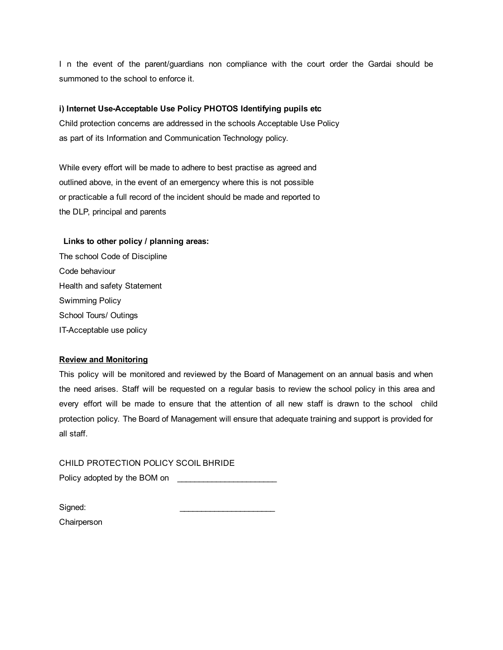I n the event of the parent/guardians non compliance with the court order the Gardai should be summoned to the school to enforce it.

#### i) Internet Use-Acceptable Use Policy PHOTOS Identifying pupils etc

Child protection concerns are addressed in the schools Acceptable Use Policy as part of its Information and Communication Technology policy.

While every effort will be made to adhere to best practise as agreed and outlined above, in the event of an emergency where this is not possible or practicable a full record of the incident should be made and reported to the DLP, principal and parents

#### Links to other policy / planning areas:

The school Code of Discipline Code behaviour Health and safety Statement Swimming Policy School Tours/ Outings IT-Acceptable use policy

#### Review and Monitoring

This policy will be monitored and reviewed by the Board of Management on an annual basis and when the need arises. Staff will be requested on a regular basis to review the school policy in this area and every effort will be made to ensure that the attention of all new staff is drawn to the school child protection policy. The Board of Management will ensure that adequate training and support is provided for all staff.

CHILD PROTECTION POLICY SCOIL BHRIDE Policy adopted by the BOM on

Signed: **Chairperson**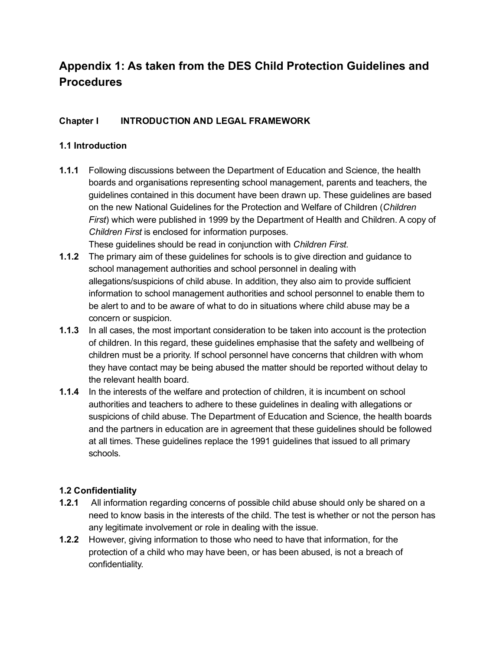# Appendix 1: As taken from the DES Child Protection Guidelines and **Procedures**

# Chapter I INTRODUCTION AND LEGAL FRAMEWORK

### 1.1 Introduction

1.1.1 Following discussions between the Department of Education and Science, the health boards and organisations representing school management, parents and teachers, the guidelines contained in this document have been drawn up. These guidelines are based on the new National Guidelines for the Protection and Welfare of Children (*Children First*) which were published in 1999 by the Department of Health and Children. A copy of *Children First* is enclosed for information purposes.

These guidelines should be read in conjunction with *Children First.*

- **1.1.2** The primary aim of these guidelines for schools is to give direction and guidance to school management authorities and school personnel in dealing with allegations/suspicions of child abuse. In addition, they also aim to provide sufficient information to school management authorities and school personnel to enable them to be alert to and to be aware of what to do in situations where child abuse may be a concern or suspicion.
- **1.1.3** In all cases, the most important consideration to be taken into account is the protection of children. In this regard, these guidelines emphasise that the safety and wellbeing of children must be a priority. If school personnel have concerns that children with whom they have contact may be being abused the matter should be reported without delay to the relevant health board.
- 1.1.4 In the interests of the welfare and protection of children, it is incumbent on school authorities and teachers to adhere to these guidelines in dealing with allegations or suspicions of child abuse. The Department of Education and Science, the health boards and the partners in education are in agreement that these guidelines should be followed at all times. These guidelines replace the 1991 guidelines that issued to all primary schools.

### 1.2 Confidentiality

- 1.2.1 All information regarding concerns of possible child abuse should only be shared on a need to know basis in the interests of the child. The test is whether or not the person has any legitimate involvement or role in dealing with the issue.
- 1.2.2 However, giving information to those who need to have that information, for the protection of a child who may have been, or has been abused, is not a breach of confidentiality.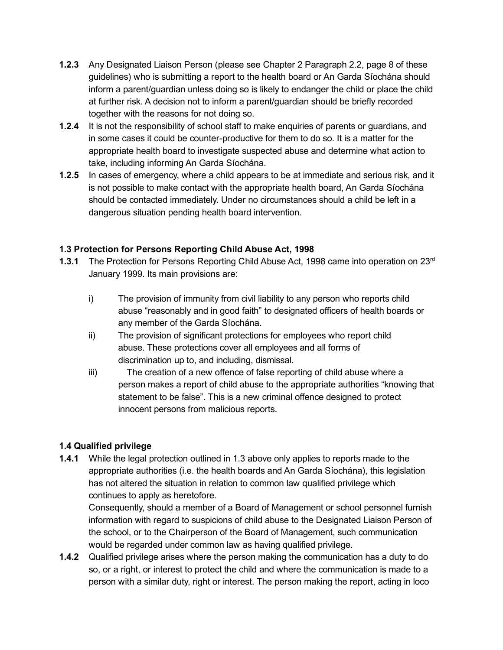- 1.2.3 Any Designated Liaison Person (please see Chapter 2 Paragraph 2.2, page 8 of these guidelines) who is submitting a report to the health board or An Garda Síochána should inform a parent/guardian unless doing so is likely to endanger the child or place the child at further risk. A decision not to inform a parent/guardian should be briefly recorded together with the reasons for not doing so.
- 1.2.4 It is not the responsibility of school staff to make enquiries of parents or guardians, and in some cases it could be counter-productive for them to do so. It is a matter for the appropriate health board to investigate suspected abuse and determine what action to take, including informing An Garda Síochána.
- **1.2.5** In cases of emergency, where a child appears to be at immediate and serious risk, and it is not possible to make contact with the appropriate health board, An Garda Síochána should be contacted immediately. Under no circumstances should a child be left in a dangerous situation pending health board intervention.

# 1.3 Protection for Persons Reporting Child Abuse Act, 1998

- 1.3.1 The Protection for Persons Reporting Child Abuse Act, 1998 came into operation on 23<sup>rd</sup> January 1999. Its main provisions are:
	- i) The provision of immunity from civil liability to any person who reports child abuse "reasonably and in good faith" to designated officers of health boards or any member of the Garda Síochána.
	- ii) The provision of significant protections for employees who report child abuse. These protections cover all employees and all forms of discrimination up to, and including, dismissal.
	- iii) The creation of a new offence of false reporting of child abuse where a person makes a report of child abuse to the appropriate authorities "knowing that statement to be false". This is a new criminal offence designed to protect innocent persons from malicious reports.

# 1.4 Qualified privilege

1.4.1 While the legal protection outlined in 1.3 above only applies to reports made to the appropriate authorities (i.e. the health boards and An Garda Síochána), this legislation has not altered the situation in relation to common law qualified privilege which continues to apply as heretofore.

Consequently, should a member of a Board of Management or school personnel furnish information with regard to suspicions of child abuse to the Designated Liaison Person of the school, or to the Chairperson of the Board of Management, such communication would be regarded under common law as having qualified privilege.

1.4.2 Qualified privilege arises where the person making the communication has a duty to do so, or a right, or interest to protect the child and where the communication is made to a person with a similar duty, right or interest. The person making the report, acting in loco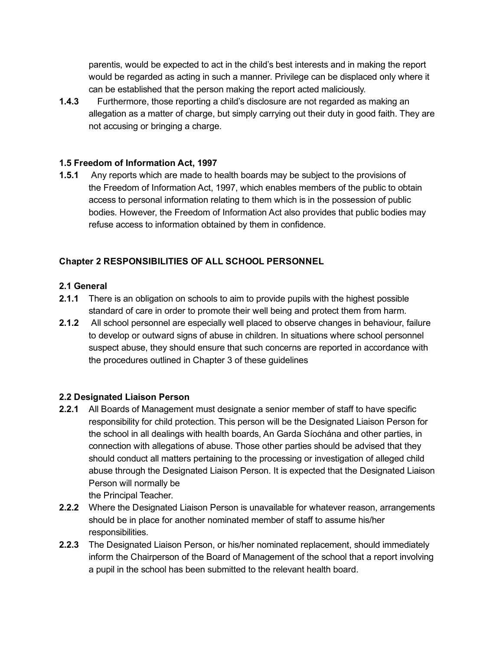parentis, would be expected to act in the child's best interests and in making the report would be regarded as acting in such a manner. Privilege can be displaced only where it can be established that the person making the report acted maliciously.

1.4.3 Furthermore, those reporting a child's disclosure are not regarded as making an allegation as a matter of charge, but simply carrying out their duty in good faith. They are not accusing or bringing a charge.

### 1.5 Freedom of Information Act, 1997

1.5.1 Any reports which are made to health boards may be subject to the provisions of the Freedom of Information Act, 1997, which enables members of the public to obtain access to personal information relating to them which is in the possession of public bodies. However, the Freedom of Information Act also provides that public bodies may refuse access to information obtained by them in confidence.

# Chapter 2 RESPONSIBILITIES OF ALL SCHOOL PERSONNEL

# 2.1 General

- 2.1.1 There is an obligation on schools to aim to provide pupils with the highest possible standard of care in order to promote their well being and protect them from harm.
- 2.1.2 All school personnel are especially well placed to observe changes in behaviour, failure to develop or outward signs of abuse in children. In situations where school personnel suspect abuse, they should ensure that such concerns are reported in accordance with the procedures outlined in Chapter 3 of these guidelines

# 2.2 Designated Liaison Person

- 2.2.1 All Boards of Management must designate a senior member of staff to have specific responsibility for child protection. This person will be the Designated Liaison Person for the school in all dealings with health boards, An Garda Síochána and other parties, in connection with allegations of abuse. Those other parties should be advised that they should conduct all matters pertaining to the processing or investigation of alleged child abuse through the Designated Liaison Person. It is expected that the Designated Liaison Person will normally be
- the Principal Teacher. 2.2.2 Where the Designated Liaison Person is unavailable for whatever reason, arrangements should be in place for another nominated member of staff to assume his/her responsibilities.
- 2.2.3 The Designated Liaison Person, or his/her nominated replacement, should immediately inform the Chairperson of the Board of Management of the school that a report involving a pupil in the school has been submitted to the relevant health board.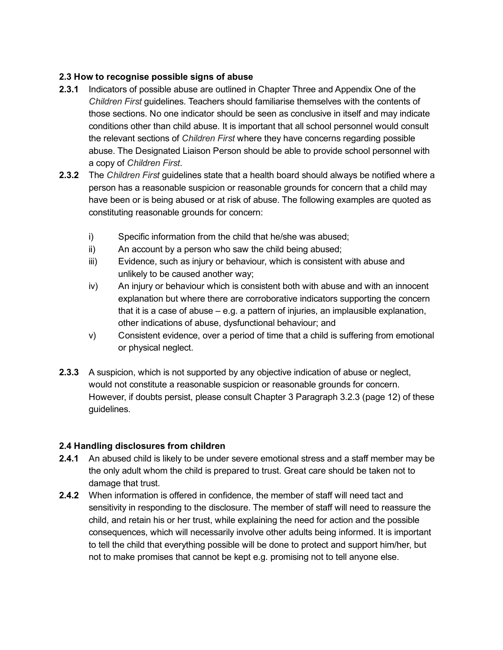### 2.3 How to recognise possible signs of abuse

- 2.3.1 Indicators of possible abuse are outlined in Chapter Three and Appendix One of the *Children First* guidelines. Teachers should familiarise themselves with the contents of those sections. No one indicator should be seen as conclusive in itself and may indicate conditions other than child abuse. It is important that all school personnel would consult the relevant sections of *Children First* where they have concerns regarding possible abuse. The Designated Liaison Person should be able to provide school personnel with a copy of *Children First*.
- 2.3.2 The *Children First* guidelines state that a health board should always be notified where a person has a reasonable suspicion or reasonable grounds for concern that a child may have been or is being abused or at risk of abuse. The following examples are quoted as constituting reasonable grounds for concern:
	- i) Specific information from the child that he/she was abused;
	- ii) An account by a person who saw the child being abused;
	- iii) Evidence, such as injury or behaviour, which is consistent with abuse and unlikely to be caused another way;
	- iv) An injury or behaviour which is consistent both with abuse and with an innocent explanation but where there are corroborative indicators supporting the concern that it is a case of abuse – e.g. a pattern of injuries, an implausible explanation, other indications of abuse, dysfunctional behaviour; and
	- v) Consistent evidence, over a period of time that a child is suffering from emotional or physical neglect.
- 2.3.3 A suspicion, which is not supported by any objective indication of abuse or neglect, would not constitute a reasonable suspicion or reasonable grounds for concern. However, if doubts persist, please consult Chapter 3 Paragraph 3.2.3 (page 12) of these guidelines.

### 2.4 Handling disclosures from children

- 2.4.1 An abused child is likely to be under severe emotional stress and a staff member may be the only adult whom the child is prepared to trust. Great care should be taken not to damage that trust.
- **2.4.2** When information is offered in confidence, the member of staff will need tact and sensitivity in responding to the disclosure. The member of staff will need to reassure the child, and retain his or her trust, while explaining the need for action and the possible consequences, which will necessarily involve other adults being informed. It is important to tell the child that everything possible will be done to protect and support him/her, but not to make promises that cannot be kept e.g. promising not to tell anyone else.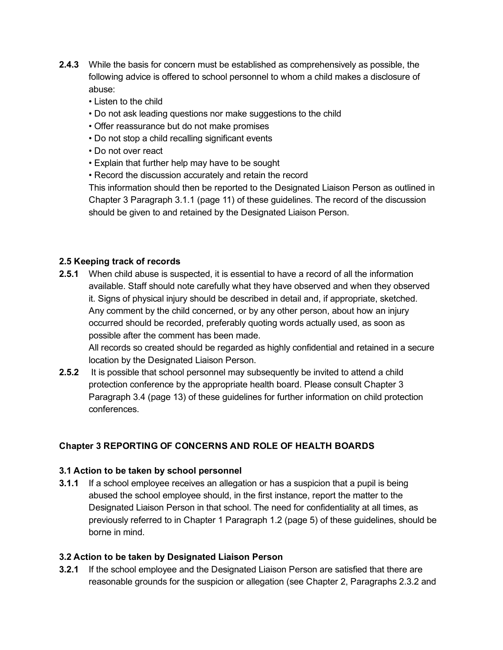- 2.4.3 While the basis for concern must be established as comprehensively as possible, the following advice is offered to school personnel to whom a child makes a disclosure of abuse:
	- Listen to the child
	- Do not ask leading questions nor make suggestions to the child
	- Offer reassurance but do not make promises
	- Do not stop a child recalling significant events
	- Do not over react
	- Explain that further help may have to be sought
	- Record the discussion accurately and retain the record

This information should then be reported to the Designated Liaison Person as outlined in Chapter 3 Paragraph 3.1.1 (page 11) of these guidelines. The record of the discussion should be given to and retained by the Designated Liaison Person.

#### 2.5 Keeping track of records

**2.5.1** When child abuse is suspected, it is essential to have a record of all the information available. Staff should note carefully what they have observed and when they observed it. Signs of physical injury should be described in detail and, if appropriate, sketched. Any comment by the child concerned, or by any other person, about how an injury occurred should be recorded, preferably quoting words actually used, as soon as possible after the comment has been made.

All records so created should be regarded as highly confidential and retained in a secure location by the Designated Liaison Person.

2.5.2 It is possible that school personnel may subsequently be invited to attend a child protection conference by the appropriate health board. Please consult Chapter 3 Paragraph 3.4 (page 13) of these guidelines for further information on child protection conferences.

### Chapter 3 REPORTING OF CONCERNS AND ROLE OF HEALTH BOARDS

#### 3.1 Action to be taken by school personnel

3.1.1 If a school employee receives an allegation or has a suspicion that a pupil is being abused the school employee should, in the first instance, report the matter to the Designated Liaison Person in that school. The need for confidentiality at all times, as previously referred to in Chapter 1 Paragraph 1.2 (page 5) of these guidelines, should be borne in mind.

#### 3.2 Action to be taken by Designated Liaison Person

3.2.1 If the school employee and the Designated Liaison Person are satisfied that there are reasonable grounds for the suspicion or allegation (see Chapter 2, Paragraphs 2.3.2 and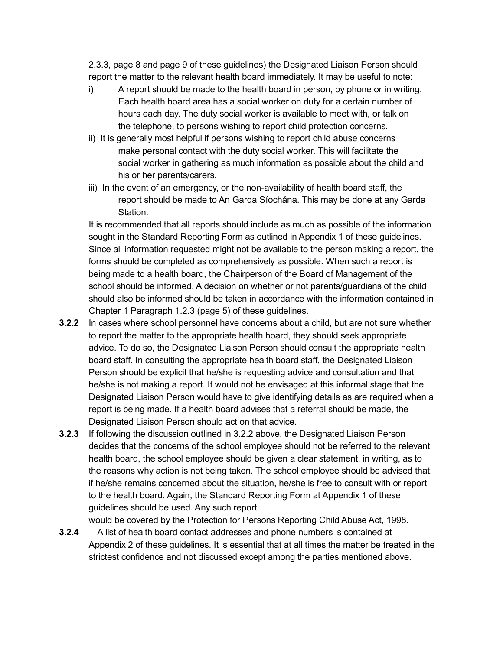2.3.3, page 8 and page 9 of these guidelines) the Designated Liaison Person should report the matter to the relevant health board immediately. It may be useful to note:

- i) A report should be made to the health board in person, by phone or in writing. Each health board area has a social worker on duty for a certain number of hours each day. The duty social worker is available to meet with, or talk on the telephone, to persons wishing to report child protection concerns.
- ii) It is generally most helpful if persons wishing to report child abuse concerns make personal contact with the duty social worker. This will facilitate the social worker in gathering as much information as possible about the child and his or her parents/carers.
- iii) In the event of an emergency, or the non-availability of health board staff, the report should be made to An Garda Síochána. This may be done at any Garda Station.

It is recommended that all reports should include as much as possible of the information sought in the Standard Reporting Form as outlined in Appendix 1 of these guidelines. Since all information requested might not be available to the person making a report, the forms should be completed as comprehensively as possible. When such a report is being made to a health board, the Chairperson of the Board of Management of the school should be informed. A decision on whether or not parents/guardians of the child should also be informed should be taken in accordance with the information contained in Chapter 1 Paragraph 1.2.3 (page 5) of these guidelines.

- **3.2.2** In cases where school personnel have concerns about a child, but are not sure whether to report the matter to the appropriate health board, they should seek appropriate advice. To do so, the Designated Liaison Person should consult the appropriate health board staff. In consulting the appropriate health board staff, the Designated Liaison Person should be explicit that he/she is requesting advice and consultation and that he/she is not making a report. It would not be envisaged at this informal stage that the Designated Liaison Person would have to give identifying details as are required when a report is being made. If a health board advises that a referral should be made, the Designated Liaison Person should act on that advice.
- 3.2.3 If following the discussion outlined in 3.2.2 above, the Designated Liaison Person decides that the concerns of the school employee should not be referred to the relevant health board, the school employee should be given a clear statement, in writing, as to the reasons why action is not being taken. The school employee should be advised that, if he/she remains concerned about the situation, he/she is free to consult with or report to the health board. Again, the Standard Reporting Form at Appendix 1 of these guidelines should be used. Any such report

would be covered by the Protection for Persons Reporting Child Abuse Act, 1998.

3.2.4 A list of health board contact addresses and phone numbers is contained at Appendix 2 of these guidelines. It is essential that at all times the matter be treated in the strictest confidence and not discussed except among the parties mentioned above.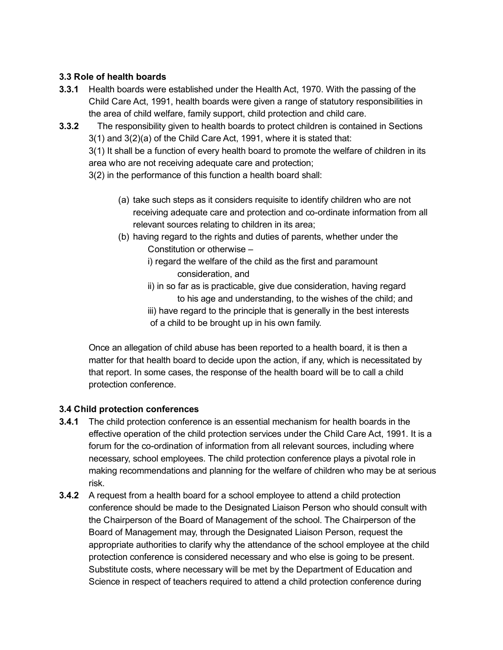### 3.3 Role of health boards

- 3.3.1 Health boards were established under the Health Act, 1970. With the passing of the Child Care Act, 1991, health boards were given a range of statutory responsibilities in the area of child welfare, family support, child protection and child care.
- 3.3.2 The responsibility given to health boards to protect children is contained in Sections 3(1) and 3(2)(a) of the Child Care Act, 1991, where it is stated that:

3(1) It shall be a function of every health board to promote the welfare of children in its area who are not receiving adequate care and protection;

3(2) in the performance of this function a health board shall:

- (a) take such steps as it considers requisite to identify children who are not receiving adequate care and protection and co-ordinate information from all relevant sources relating to children in its area;
- (b) having regard to the rights and duties of parents, whether under the Constitution or otherwise –
	- i) regard the welfare of the child as the first and paramount consideration, and
	- ii) in so far as is practicable, give due consideration, having regard to his age and understanding, to the wishes of the child; and
	- iii) have regard to the principle that is generally in the best interests of a child to be brought up in his own family.

Once an allegation of child abuse has been reported to a health board, it is then a matter for that health board to decide upon the action, if any, which is necessitated by that report. In some cases, the response of the health board will be to call a child protection conference.

### 3.4 Child protection conferences

- 3.4.1 The child protection conference is an essential mechanism for health boards in the effective operation of the child protection services under the Child Care Act, 1991. It is a forum for the co-ordination of information from all relevant sources, including where necessary, school employees. The child protection conference plays a pivotal role in making recommendations and planning for the welfare of children who may be at serious risk.
- **3.4.2** A request from a health board for a school employee to attend a child protection conference should be made to the Designated Liaison Person who should consult with the Chairperson of the Board of Management of the school. The Chairperson of the Board of Management may, through the Designated Liaison Person, request the appropriate authorities to clarify why the attendance of the school employee at the child protection conference is considered necessary and who else is going to be present. Substitute costs, where necessary will be met by the Department of Education and Science in respect of teachers required to attend a child protection conference during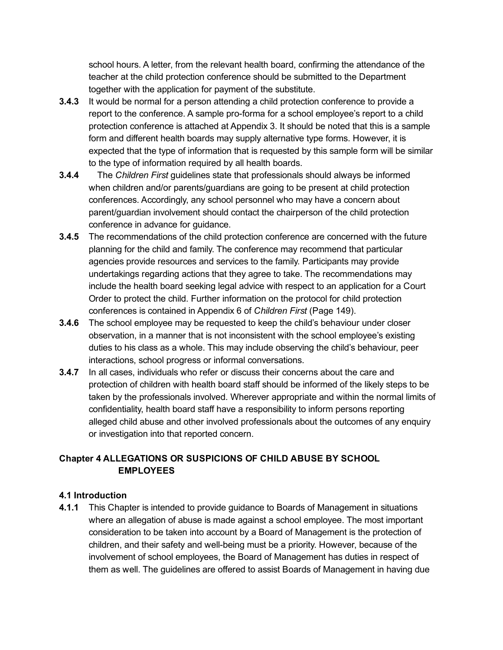school hours. A letter, from the relevant health board, confirming the attendance of the teacher at the child protection conference should be submitted to the Department together with the application for payment of the substitute.

- 3.4.3 It would be normal for a person attending a child protection conference to provide a report to the conference. A sample pro-forma for a school employee's report to a child protection conference is attached at Appendix 3. It should be noted that this is a sample form and different health boards may supply alternative type forms. However, it is expected that the type of information that is requested by this sample form will be similar to the type of information required by all health boards.
- 3.4.4 The *Children First* guidelines state that professionals should always be informed when children and/or parents/guardians are going to be present at child protection conferences. Accordingly, any school personnel who may have a concern about parent/guardian involvement should contact the chairperson of the child protection conference in advance for guidance.
- 3.4.5 The recommendations of the child protection conference are concerned with the future planning for the child and family. The conference may recommend that particular agencies provide resources and services to the family. Participants may provide undertakings regarding actions that they agree to take. The recommendations may include the health board seeking legal advice with respect to an application for a Court Order to protect the child. Further information on the protocol for child protection conferences is contained in Appendix 6 of *Children First* (Page 149).
- 3.4.6 The school employee may be requested to keep the child's behaviour under closer observation, in a manner that is not inconsistent with the school employee's existing duties to his class as a whole. This may include observing the child's behaviour, peer interactions, school progress or informal conversations.
- **3.4.7** In all cases, individuals who refer or discuss their concerns about the care and protection of children with health board staff should be informed of the likely steps to be taken by the professionals involved. Wherever appropriate and within the normal limits of confidentiality, health board staff have a responsibility to inform persons reporting alleged child abuse and other involved professionals about the outcomes of any enquiry or investigation into that reported concern.

# Chapter 4 ALLEGATIONS OR SUSPICIONS OF CHILD ABUSE BY SCHOOL **EMPLOYEES**

### 4.1 Introduction

4.1.1 This Chapter is intended to provide guidance to Boards of Management in situations where an allegation of abuse is made against a school employee. The most important consideration to be taken into account by a Board of Management is the protection of children, and their safety and well-being must be a priority. However, because of the involvement of school employees, the Board of Management has duties in respect of them as well. The guidelines are offered to assist Boards of Management in having due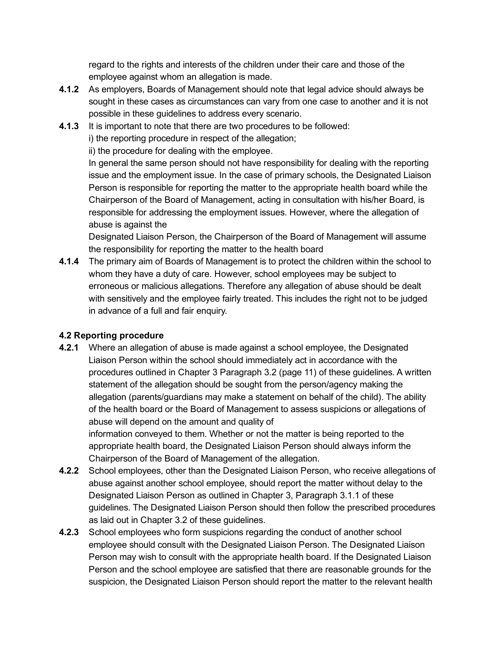regard to the rights and interests of the children under their care and those of the employee against whom an allegation is made.

- 4.1.2 As employers, Boards of Management should note that legal advice should always be sought in these cases as circumstances can vary from one case to another and it is not possible in these guidelines to address every scenario.
- 4.1.3 It is important to note that there are two procedures to be followed:

i) the reporting procedure in respect of the allegation;

ii) the procedure for dealing with the employee.

In general the same person should not have responsibility for dealing with the reporting issue and the employment issue. In the case of primary schools, the Designated Liaison Person is responsible for reporting the matter to the appropriate health board while the Chairperson of the Board of Management, acting in consultation with his/her Board, is responsible for addressing the employment issues. However, where the allegation of abuse is against the

Designated Liaison Person, the Chairperson of the Board of Management will assume the responsibility for reporting the matter to the health board

4.1.4 The primary aim of Boards of Management is to protect the children within the school to whom they have a duty of care. However, school employees may be subject to erroneous or malicious allegations. Therefore any allegation of abuse should be dealt with sensitively and the employee fairly treated. This includes the right not to be judged in advance of a full and fair enquiry.

# 4.2 Reporting procedure

- 4.2.1 Where an allegation of abuse is made against a school employee, the Designated Liaison Person within the school should immediately act in accordance with the procedures outlined in Chapter 3 Paragraph 3.2 (page 11) of these guidelines. A written statement of the allegation should be sought from the person/agency making the allegation (parents/guardians may make a statement on behalf of the child). The ability of the health board or the Board of Management to assess suspicions or allegations of abuse will depend on the amount and quality of information conveyed to them. Whether or not the matter is being reported to the appropriate health board, the Designated Liaison Person should always inform the Chairperson of the Board of Management of the allegation.
- 4.2.2 School employees, other than the Designated Liaison Person, who receive allegations of abuse against another school employee, should report the matter without delay to the Designated Liaison Person as outlined in Chapter 3, Paragraph 3.1.1 of these guidelines. The Designated Liaison Person should then follow the prescribed procedures as laid out in Chapter 3.2 of these guidelines.
- **4.2.3** School employees who form suspicions regarding the conduct of another school employee should consult with the Designated Liaison Person. The Designated Liaison Person may wish to consult with the appropriate health board. If the Designated Liaison Person and the school employee are satisfied that there are reasonable grounds for the suspicion, the Designated Liaison Person should report the matter to the relevant health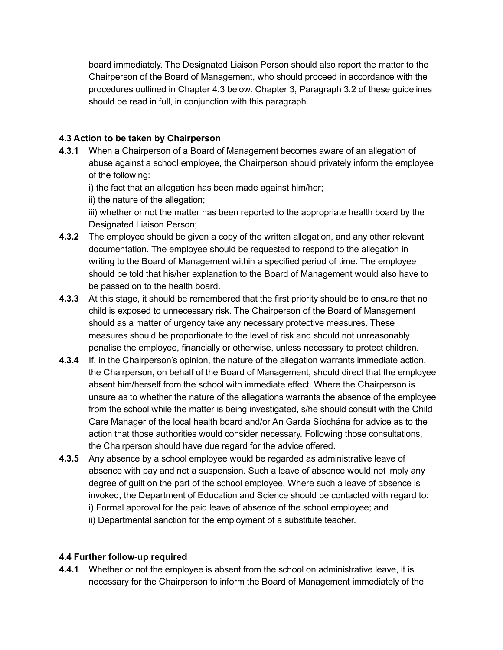board immediately. The Designated Liaison Person should also report the matter to the Chairperson of the Board of Management, who should proceed in accordance with the procedures outlined in Chapter 4.3 below. Chapter 3, Paragraph 3.2 of these guidelines should be read in full, in conjunction with this paragraph.

#### 4.3 Action to be taken by Chairperson

4.3.1 When a Chairperson of a Board of Management becomes aware of an allegation of abuse against a school employee, the Chairperson should privately inform the employee of the following:

i) the fact that an allegation has been made against him/her;

ii) the nature of the allegation;

iii) whether or not the matter has been reported to the appropriate health board by the Designated Liaison Person;

- **4.3.2** The employee should be given a copy of the written allegation, and any other relevant documentation. The employee should be requested to respond to the allegation in writing to the Board of Management within a specified period of time. The employee should be told that his/her explanation to the Board of Management would also have to be passed on to the health board.
- **4.3.3** At this stage, it should be remembered that the first priority should be to ensure that no child is exposed to unnecessary risk. The Chairperson of the Board of Management should as a matter of urgency take any necessary protective measures. These measures should be proportionate to the level of risk and should not unreasonably penalise the employee, financially or otherwise, unless necessary to protect children.
- 4.3.4 If, in the Chairperson's opinion, the nature of the allegation warrants immediate action, the Chairperson, on behalf of the Board of Management, should direct that the employee absent him/herself from the school with immediate effect. Where the Chairperson is unsure as to whether the nature of the allegations warrants the absence of the employee from the school while the matter is being investigated, s/he should consult with the Child Care Manager of the local health board and/or An Garda Síochána for advice as to the action that those authorities would consider necessary. Following those consultations, the Chairperson should have due regard for the advice offered.
- 4.3.5 Any absence by a school employee would be regarded as administrative leave of absence with pay and not a suspension. Such a leave of absence would not imply any degree of guilt on the part of the school employee. Where such a leave of absence is invoked, the Department of Education and Science should be contacted with regard to: i) Formal approval for the paid leave of absence of the school employee; and ii) Departmental sanction for the employment of a substitute teacher.

#### 4.4 Further follow-up required

4.4.1 Whether or not the employee is absent from the school on administrative leave, it is necessary for the Chairperson to inform the Board of Management immediately of the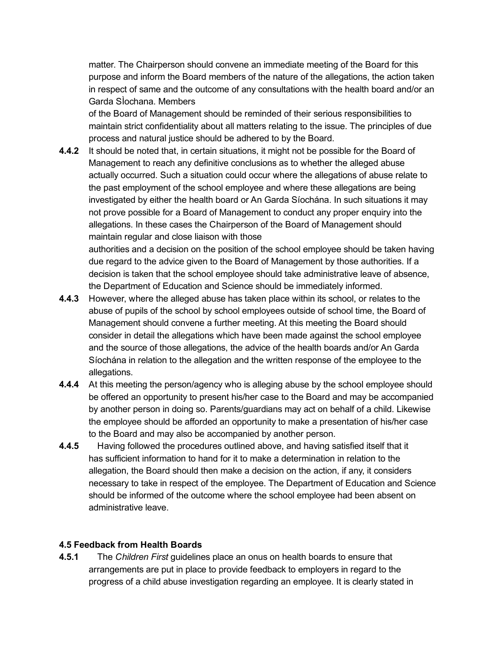matter. The Chairperson should convene an immediate meeting of the Board for this purpose and inform the Board members of the nature of the allegations, the action taken in respect of same and the outcome of any consultations with the health board and/or an Garda SÌochana. Members

of the Board of Management should be reminded of their serious responsibilities to maintain strict confidentiality about all matters relating to the issue. The principles of due process and natural justice should be adhered to by the Board.

**4.4.2** It should be noted that, in certain situations, it might not be possible for the Board of Management to reach any definitive conclusions as to whether the alleged abuse actually occurred. Such a situation could occur where the allegations of abuse relate to the past employment of the school employee and where these allegations are being investigated by either the health board or An Garda Síochána. In such situations it may not prove possible for a Board of Management to conduct any proper enquiry into the allegations. In these cases the Chairperson of the Board of Management should maintain regular and close liaison with those

authorities and a decision on the position of the school employee should be taken having due regard to the advice given to the Board of Management by those authorities. If a decision is taken that the school employee should take administrative leave of absence, the Department of Education and Science should be immediately informed.

- 4.4.3 However, where the alleged abuse has taken place within its school, or relates to the abuse of pupils of the school by school employees outside of school time, the Board of Management should convene a further meeting. At this meeting the Board should consider in detail the allegations which have been made against the school employee and the source of those allegations, the advice of the health boards and/or An Garda Síochána in relation to the allegation and the written response of the employee to the allegations.
- 4.4.4 At this meeting the person/agency who is alleging abuse by the school employee should be offered an opportunity to present his/her case to the Board and may be accompanied by another person in doing so. Parents/guardians may act on behalf of a child. Likewise the employee should be afforded an opportunity to make a presentation of his/her case to the Board and may also be accompanied by another person.
- 4.4.5 Having followed the procedures outlined above, and having satisfied itself that it has sufficient information to hand for it to make a determination in relation to the allegation, the Board should then make a decision on the action, if any, it considers necessary to take in respect of the employee. The Department of Education and Science should be informed of the outcome where the school employee had been absent on administrative leave.

#### 4.5 Feedback from Health Boards

4.5.1 The *Children First* guidelines place an onus on health boards to ensure that arrangements are put in place to provide feedback to employers in regard to the progress of a child abuse investigation regarding an employee. It is clearly stated in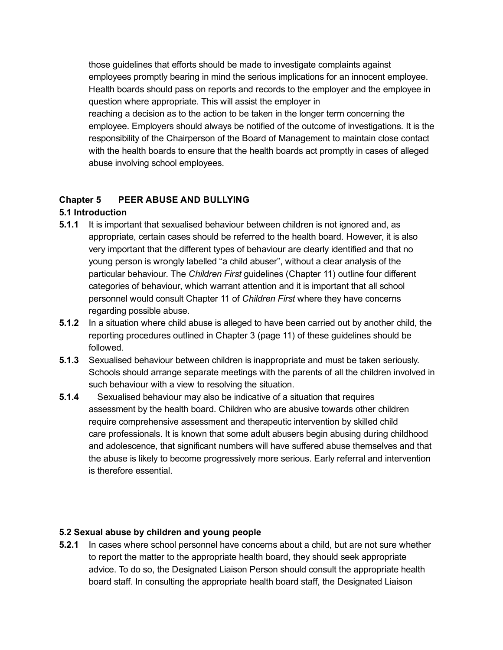those guidelines that efforts should be made to investigate complaints against employees promptly bearing in mind the serious implications for an innocent employee. Health boards should pass on reports and records to the employer and the employee in question where appropriate. This will assist the employer in reaching a decision as to the action to be taken in the longer term concerning the employee. Employers should always be notified of the outcome of investigations. It is the responsibility of the Chairperson of the Board of Management to maintain close contact with the health boards to ensure that the health boards act promptly in cases of alleged abuse involving school employees.

# Chapter 5 PEER ABUSE AND BULLYING

#### 5.1 Introduction

- **5.1.1** It is important that sexualised behaviour between children is not ignored and, as appropriate, certain cases should be referred to the health board. However, it is also very important that the different types of behaviour are clearly identified and that no young person is wrongly labelled "a child abuser", without a clear analysis of the particular behaviour. The *Children First* guidelines (Chapter 11) outline four different categories of behaviour, which warrant attention and it is important that all school personnel would consult Chapter 11 of *Children First* where they have concerns regarding possible abuse.
- **5.1.2** In a situation where child abuse is alleged to have been carried out by another child, the reporting procedures outlined in Chapter 3 (page 11) of these guidelines should be followed.
- 5.1.3 Sexualised behaviour between children is inappropriate and must be taken seriously. Schools should arrange separate meetings with the parents of all the children involved in such behaviour with a view to resolving the situation.
- 5.1.4 Sexualised behaviour may also be indicative of a situation that requires assessment by the health board. Children who are abusive towards other children require comprehensive assessment and therapeutic intervention by skilled child care professionals. It is known that some adult abusers begin abusing during childhood and adolescence, that significant numbers will have suffered abuse themselves and that the abuse is likely to become progressively more serious. Early referral and intervention is therefore essential.

### 5.2 Sexual abuse by children and young people

5.2.1 In cases where school personnel have concerns about a child, but are not sure whether to report the matter to the appropriate health board, they should seek appropriate advice. To do so, the Designated Liaison Person should consult the appropriate health board staff. In consulting the appropriate health board staff, the Designated Liaison